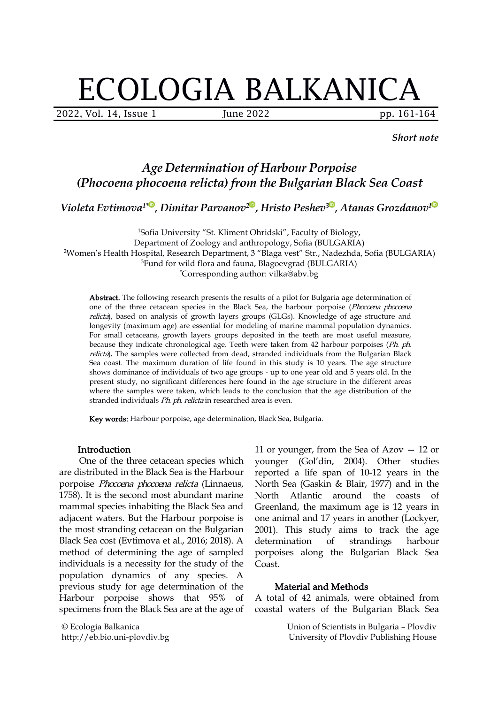# ECOLOGIA BALKANICA

2022, Vol. 14, Issue 1 June 2022 pp. 161-164

*Short note*

## *Age Determination of Harbour Porpoise (Phocoena phocoena relicta) from the Bulgarian Black Sea Coast*

*Violeta Evtimova 1\* ,Dimitar Parvanov [2](https://orcid.org/0000-0003-4992-002X) , Hristo Peshev [3](https://orcid.org/0000-0001-8925-053X) , Atanas Grozdanov [1](https://orcid.org/0000-0002-3360-2468)*

<sup>1</sup>Sofia University "St. Kliment Ohridski", Faculty of Biology, Department of Zoology and anthropology, Sofia (BULGARIA) <sup>2</sup>Women's Health Hospital, Research Department, 3 "Blaga vest" Str., Nadezhda, Sofia (BULGARIA) <sup>3</sup>Fund for wild flora and fauna, Blagoevgrad (BULGARIA) \*Corresponding author: vilka@abv.bg

Abstract. The following research presents the results of a pilot for Bulgaria age determination of one of the three cetacean species in the Black Sea, the harbour porpoise (Phocoena phocoena relicta), based on analysis of growth layers groups (GLGs). Knowledge of age structure and longevity (maximum age) are essential for modeling of marine mammal population dynamics. For small cetaceans, growth layers groups deposited in the teeth are most useful measure, because they indicate chronological age. Teeth were taken from 42 harbour porpoises (Ph. ph. relicta). The samples were collected from dead, stranded individuals from the Bulgarian Black Sea coast. The maximum duration of life found in this study is 10 years. The age structure shows dominance of individuals of two age groups - up to one year old and 5 years old. In the present study, no significant differences here found in the age structure in the different areas where the samples were taken, which leads to the conclusion that the age distribution of the stranded individuals Ph. ph. relicta in researched area is even.

Key words: Harbour porpoise, аge determination, Black Sea, Bulgaria.

#### Introduction

One of the three cetacean species which are distributed in the Black Sea is the Harbour porpoise Phocoena phocoena relicta (Linnaeus, 1758). It is the second most abundant marine mammal species inhabiting the Black Sea and adjacent waters. But the Harbour porpoise is the most stranding cetacean on the Bulgarian Black Sea cost (Evtimova et al., 2016; 2018). A determination of strandings method of determining the age of sampled individuals is a necessity for the study of the Coast. population dynamics of any species. A previous study for age determination of the Harbour porpoise shows that 95% of specimens from the Black Sea are at the age of

© Ecologia Balkanica http://eb.bio.uni-plovdiv.bg

11 or younger, from the Sea of Azov — 12 or younger (Gol'din, 2004). Other studies reported a life span of 10-12 years in the North Sea (Gaskin & Blair, 1977) and in the North Atlantic around the coasts of Greenland, the maximum age is12 years in one animal and 17 years in another (Lockyer, 2001). This study aims to track the age determination of strandings harbour porpoises along the Bulgarian Black Sea

#### **Material and Methods**

A total of 42 animals, were obtained from coastal waters of the Bulgarian Black Sea

> Union of Scientists in Bulgaria – Plovdiv University of Plovdiv Publishing House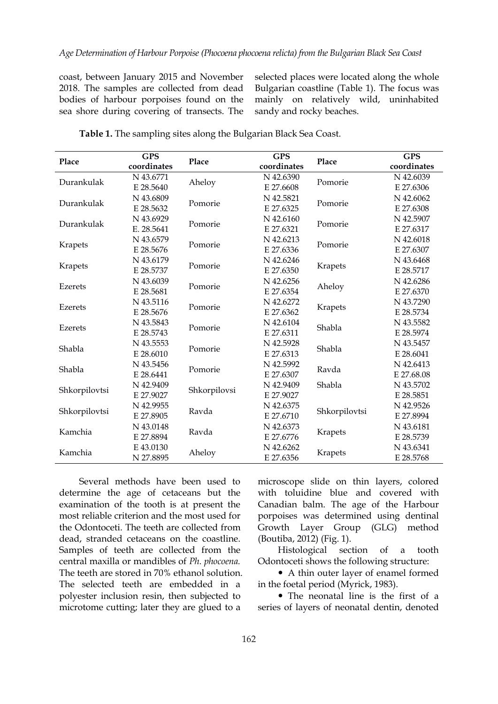coast, between January 2015 and November 2018. The samples are collected from dead bodies of harbour porpoises found on the sea shore during covering of transects. The

selected places were located along the whole Bulgarian coastline (Table 1). The focus was mainly on relatively wild, uninhabited sandy and rocky beaches.

| Place         | <b>GPS</b>  | Place        | <b>GPS</b>  | Place         | <b>GPS</b>  |
|---------------|-------------|--------------|-------------|---------------|-------------|
|               | coordinates |              | coordinates |               | coordinates |
| Durankulak    | N 43.6771   | Aheloy       | N 42.6390   | Pomorie       | N 42.6039   |
|               | E 28.5640   |              | E 27.6608   |               | E 27.6306   |
| Durankulak    | N 43.6809   | Pomorie      | N 42.5821   | Pomorie       | N 42.6062   |
|               | E 28.5632   |              | E 27.6325   |               | E 27.6308   |
| Durankulak    | N 43.6929   | Pomorie      | N 42.6160   | Pomorie       | N 42.5907   |
|               | E. 28.5641  |              | E 27.6321   |               | E 27.6317   |
| Krapets       | N 43.6579   | Pomorie      | N 42.6213   | Pomorie       | N 42.6018   |
|               | E 28.5676   |              | E 27.6336   |               | E 27.6307   |
| Krapets       | N 43.6179   | Pomorie      | N 42.6246   | Krapets       | N 43.6468   |
|               | E 28.5737   |              | E 27.6350   |               | E 28.5717   |
| Ezerets       | N 43.6039   | Pomorie      | N 42.6256   | Aheloy        | N 42.6286   |
|               | E 28.5681   |              | E 27.6354   |               | E 27.6370   |
| Ezerets       | N 43.5116   | Pomorie      | N 42.6272   | Krapets       | N 43.7290   |
|               | E 28.5676   |              | E 27.6362   |               | E 28.5734   |
| Ezerets       | N 43.5843   | Pomorie      | N 42.6104   | Shabla        | N 43.5582   |
|               | E 28.5743   |              | E 27.6311   |               | E 28.5974   |
| Shabla        | N 43.5553   | Pomorie      | N 42.5928   | Shabla        | N 43.5457   |
|               | E 28.6010   |              | E 27.6313   |               | E 28.6041   |
| Shabla        | N 43.5456   | Pomorie      | N 42.5992   | Ravda         | N 42.6413   |
|               | E 28.6441   |              | E 27.6307   |               | E 27.68.08  |
| Shkorpilovtsi | N 42.9409   | Shkorpilovsi | N 42.9409   | Shabla        | N 43.5702   |
|               | E 27.9027   |              | E 27.9027   |               | E 28.5851   |
| Shkorpilovtsi | N 42.9955   | Ravda        | N 42.6375   | Shkorpilovtsi | N 42.9526   |
|               | E 27.8905   |              | E 27.6710   |               | E 27.8994   |
| Kamchia       | N 43.0148   | Ravda        | N 42.6373   | Krapets       | N 43.6181   |
|               | E 27.8894   |              | E 27.6776   |               | E 28.5739   |
| Kamchia       | E 43.0130   | Aheloy       | N 42.6262   | Krapets       | N 43.6341   |
|               | N 27.8895   |              | E 27.6356   |               | E 28.5768   |

**Table 1.** The sampling sites along the Bulgarian Black Sea Coast.

Several methods have been used to determine the age of cetaceans but the examination of the tooth is at present the most reliable criterion and the most used for the Odontoceti. The teeth are collected from dead, stranded cetaceans on the coastline. Samples of teeth are collected from the Histological section central maxilla or mandibles of *Ph. phocoena.* The teeth are stored in 70% ethanol solution. The selected teeth are embedded in a polyester inclusion resin, then subjected to microtome cutting; later they are glued to a

microscope slide on thin layers, colored with toluidine blue and covered with Canadian balm. The age of the Harbour porpoises was determined using dentinal Growth Layer Group (GLG) method (Boutiba, 2012) (Fig. 1).

Histological section of a tooth Odontoceti shows the following structure:

• A thin outer layer of enamel formed in the foetal period (Myrick, 1983).

 The neonatal line is the first of a series of layers of neonatal dentin, denoted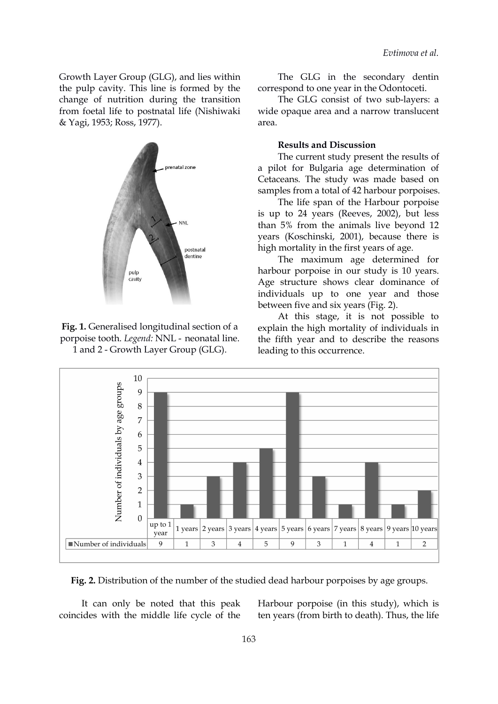Growth Layer Group (GLG), and lies within the pulp cavity. This line is formed by the change of nutrition during the transition from foetal life to postnatal life (Nishiwaki & Yagi, 1953; Ross, 1977).



**Fig. 1.** Generalised longitudinal section of a porpoise tooth. *Legend:* NNL - neonatal line.<br>1 and 2 - Growth Layer Group (GLG).

The GLG in the secondary dentin correspond to one year in the Odontoceti.

The GLG consist of two sub-layers: a wide opaque area and a narrow translucent area.

#### **Results and Discussion**

The current study present the results of a pilot for Bulgaria age determination of Cetaceans*.* The study was made based on samples from a total of 42 harbour porpoises.

The life spa[n](https://orcid.org/0000-0001-8925-053X) of the Harbour porpoi[se](https://orcid.org/0000-0002-3360-2468) is up to 24 years (Reeves, 2002), but less than 5% from the animals live beyond 12 years (Koschinski, 2001), because there is high mortality in the first years of age.

The maximum age determined for harbour porpoise in our study is 10 years. Age structure shows clear dominance of individuals up to one year and those between five and six years (Fig. 2).

At this stage, it is not possible to explain the high mortality of individuals in the fifth year and to describe the reasons leading to this occurrence.



Fig. 2. Distribution of the number of the studied dead harbour porpoises by age groups.

It can only be noted that this peak coincides with the middle life cycle of the Harbour porpoise (in this study), which is ten years (from birth to death). Thus, the life